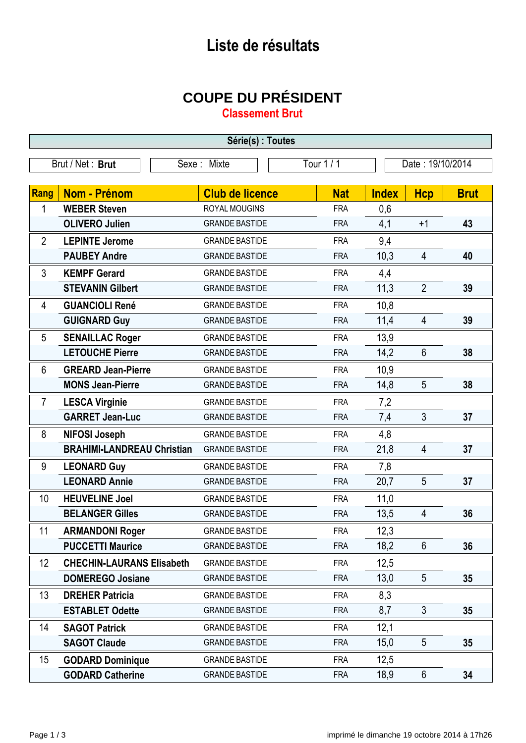## **Liste de résultats**

## **COUPE DU PRÉSIDENT**

**Classement Brut**

| Série(s) : Toutes |                                   |                        |            |                  |                |             |
|-------------------|-----------------------------------|------------------------|------------|------------------|----------------|-------------|
| Brut / Net: Brut  |                                   | Sexe: Mixte            | Tour 1/1   | Date: 19/10/2014 |                |             |
|                   |                                   |                        |            |                  |                |             |
| Rang              | <b>Nom - Prénom</b>               | <b>Club de licence</b> | <b>Nat</b> | <b>Index</b>     | <b>Hcp</b>     | <b>Brut</b> |
| 1                 | <b>WEBER Steven</b>               | ROYAL MOUGINS          | <b>FRA</b> | 0,6              |                |             |
|                   | <b>OLIVERO Julien</b>             | <b>GRANDE BASTIDE</b>  | <b>FRA</b> | 4,1              | $+1$           | 43          |
| $\overline{2}$    | <b>LEPINTE Jerome</b>             | <b>GRANDE BASTIDE</b>  | <b>FRA</b> | 9,4              |                |             |
|                   | <b>PAUBEY Andre</b>               | <b>GRANDE BASTIDE</b>  | <b>FRA</b> | 10,3             | $\overline{4}$ | 40          |
| 3                 | <b>KEMPF Gerard</b>               | <b>GRANDE BASTIDE</b>  | <b>FRA</b> | 4,4              |                |             |
|                   | <b>STEVANIN Gilbert</b>           | <b>GRANDE BASTIDE</b>  | <b>FRA</b> | 11,3             | $\overline{2}$ | 39          |
| 4                 | <b>GUANCIOLI René</b>             | <b>GRANDE BASTIDE</b>  | <b>FRA</b> | 10,8             |                |             |
|                   | <b>GUIGNARD Guy</b>               | <b>GRANDE BASTIDE</b>  | <b>FRA</b> | 11,4             | $\overline{4}$ | 39          |
| 5                 | <b>SENAILLAC Roger</b>            | <b>GRANDE BASTIDE</b>  | <b>FRA</b> | 13,9             |                |             |
|                   | <b>LETOUCHE Pierre</b>            | <b>GRANDE BASTIDE</b>  | <b>FRA</b> | 14,2             | $6\phantom{1}$ | 38          |
| $6\phantom{1}$    | <b>GREARD Jean-Pierre</b>         | <b>GRANDE BASTIDE</b>  | <b>FRA</b> | 10,9             |                |             |
|                   | <b>MONS Jean-Pierre</b>           | <b>GRANDE BASTIDE</b>  | <b>FRA</b> | 14,8             | 5              | 38          |
| $\overline{7}$    | <b>LESCA Virginie</b>             | <b>GRANDE BASTIDE</b>  | <b>FRA</b> | 7,2              |                |             |
|                   | <b>GARRET Jean-Luc</b>            | <b>GRANDE BASTIDE</b>  | <b>FRA</b> | 7,4              | $\mathfrak{Z}$ | 37          |
| 8                 | <b>NIFOSI Joseph</b>              | <b>GRANDE BASTIDE</b>  | <b>FRA</b> | 4,8              |                |             |
|                   | <b>BRAHIMI-LANDREAU Christian</b> | <b>GRANDE BASTIDE</b>  | <b>FRA</b> | 21,8             | $\overline{4}$ | 37          |
| 9                 | <b>LEONARD Guy</b>                | <b>GRANDE BASTIDE</b>  | <b>FRA</b> | 7,8              |                |             |
|                   | <b>LEONARD Annie</b>              | <b>GRANDE BASTIDE</b>  | <b>FRA</b> | 20,7             | 5              | 37          |
| 10                | <b>HEUVELINE Joel</b>             | <b>GRANDE BASTIDE</b>  | <b>FRA</b> | 11,0             |                |             |
|                   | <b>BELANGER Gilles</b>            | <b>GRANDE BASTIDE</b>  | <b>FRA</b> | 13,5             | $\overline{4}$ | 36          |
| 11                | <b>ARMANDONI Roger</b>            | <b>GRANDE BASTIDE</b>  | <b>FRA</b> | 12,3             |                |             |
|                   | <b>PUCCETTI Maurice</b>           | <b>GRANDE BASTIDE</b>  | <b>FRA</b> | 18,2             | $6\phantom{1}$ | 36          |
| 12                | <b>CHECHIN-LAURANS Elisabeth</b>  | <b>GRANDE BASTIDE</b>  | <b>FRA</b> | 12,5             |                |             |
|                   | <b>DOMEREGO Josiane</b>           | <b>GRANDE BASTIDE</b>  | <b>FRA</b> | 13,0             | 5              | 35          |
| 13                | <b>DREHER Patricia</b>            | <b>GRANDE BASTIDE</b>  | <b>FRA</b> | 8,3              |                |             |
|                   | <b>ESTABLET Odette</b>            | <b>GRANDE BASTIDE</b>  | <b>FRA</b> | 8,7              | 3              | 35          |
| 14                | <b>SAGOT Patrick</b>              | <b>GRANDE BASTIDE</b>  | <b>FRA</b> | 12,1             |                |             |
|                   | <b>SAGOT Claude</b>               | <b>GRANDE BASTIDE</b>  | <b>FRA</b> | 15,0             | 5              | 35          |
| 15                | <b>GODARD Dominique</b>           | <b>GRANDE BASTIDE</b>  | <b>FRA</b> | 12,5             |                |             |
|                   | <b>GODARD Catherine</b>           | <b>GRANDE BASTIDE</b>  | <b>FRA</b> | 18,9             | 6              | 34          |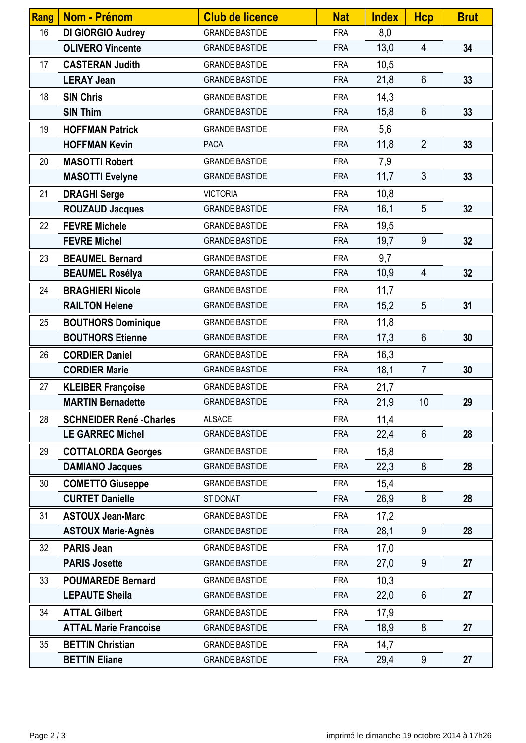| Rang | <b>Nom - Prénom</b>             | <b>Club de licence</b> | <b>Nat</b> | <b>Index</b> | <b>Hcp</b>      | <b>Brut</b> |
|------|---------------------------------|------------------------|------------|--------------|-----------------|-------------|
| 16   | <b>DI GIORGIO Audrey</b>        | <b>GRANDE BASTIDE</b>  | <b>FRA</b> | 8,0          |                 |             |
|      | <b>OLIVERO Vincente</b>         | <b>GRANDE BASTIDE</b>  | <b>FRA</b> | 13,0         | 4               | 34          |
| 17   | <b>CASTERAN Judith</b>          | <b>GRANDE BASTIDE</b>  | <b>FRA</b> | 10,5         |                 |             |
|      | <b>LERAY Jean</b>               | <b>GRANDE BASTIDE</b>  | <b>FRA</b> | 21,8         | $6\phantom{1}$  | 33          |
| 18   | <b>SIN Chris</b>                | <b>GRANDE BASTIDE</b>  | <b>FRA</b> | 14,3         |                 |             |
|      | <b>SIN Thim</b>                 | <b>GRANDE BASTIDE</b>  | <b>FRA</b> | 15,8         | $6\phantom{1}$  | 33          |
| 19   | <b>HOFFMAN Patrick</b>          | <b>GRANDE BASTIDE</b>  | <b>FRA</b> | 5,6          |                 |             |
|      | <b>HOFFMAN Kevin</b>            | <b>PACA</b>            | <b>FRA</b> | 11,8         | $\overline{2}$  | 33          |
| 20   | <b>MASOTTI Robert</b>           | <b>GRANDE BASTIDE</b>  | <b>FRA</b> | 7,9          |                 |             |
|      | <b>MASOTTI Evelyne</b>          | <b>GRANDE BASTIDE</b>  | <b>FRA</b> | 11,7         | $\mathfrak{Z}$  | 33          |
| 21   | <b>DRAGHI Serge</b>             | <b>VICTORIA</b>        | <b>FRA</b> | 10,8         |                 |             |
|      | <b>ROUZAUD Jacques</b>          | <b>GRANDE BASTIDE</b>  | <b>FRA</b> | 16,1         | 5               | 32          |
| 22   | <b>FEVRE Michele</b>            | <b>GRANDE BASTIDE</b>  | <b>FRA</b> | 19,5         |                 |             |
|      | <b>FEVRE Michel</b>             | <b>GRANDE BASTIDE</b>  | <b>FRA</b> | 19,7         | 9               | 32          |
| 23   | <b>BEAUMEL Bernard</b>          | <b>GRANDE BASTIDE</b>  | <b>FRA</b> | 9,7          |                 |             |
|      | <b>BEAUMEL Rosélya</b>          | <b>GRANDE BASTIDE</b>  | <b>FRA</b> | 10,9         | $\overline{4}$  | 32          |
| 24   | <b>BRAGHIERI Nicole</b>         | <b>GRANDE BASTIDE</b>  | <b>FRA</b> | 11,7         |                 |             |
|      | <b>RAILTON Helene</b>           | <b>GRANDE BASTIDE</b>  | <b>FRA</b> | 15,2         | 5               | 31          |
| 25   | <b>BOUTHORS Dominique</b>       | <b>GRANDE BASTIDE</b>  | <b>FRA</b> | 11,8         |                 |             |
|      | <b>BOUTHORS Etienne</b>         | <b>GRANDE BASTIDE</b>  | <b>FRA</b> | 17,3         | $6\phantom{1}$  | 30          |
| 26   | <b>CORDIER Daniel</b>           | <b>GRANDE BASTIDE</b>  | <b>FRA</b> | 16,3         |                 |             |
|      | <b>CORDIER Marie</b>            | <b>GRANDE BASTIDE</b>  | <b>FRA</b> | 18,1         | $\overline{7}$  | 30          |
| 27   | <b>KLEIBER Françoise</b>        | <b>GRANDE BASTIDE</b>  | <b>FRA</b> | 21,7         |                 |             |
|      | <b>MARTIN Bernadette</b>        | <b>GRANDE BASTIDE</b>  | <b>FRA</b> | 21,9         | 10 <sup>°</sup> | 29          |
| 28   | <b>SCHNEIDER René - Charles</b> | <b>ALSACE</b>          | <b>FRA</b> | 11,4         |                 |             |
|      | <b>LE GARREC Michel</b>         | <b>GRANDE BASTIDE</b>  | <b>FRA</b> | 22,4         | 6               | 28          |
| 29   | <b>COTTALORDA Georges</b>       | <b>GRANDE BASTIDE</b>  | <b>FRA</b> | 15,8         |                 |             |
|      | <b>DAMIANO Jacques</b>          | <b>GRANDE BASTIDE</b>  | <b>FRA</b> | 22,3         | 8               | 28          |
| 30   | <b>COMETTO Giuseppe</b>         | <b>GRANDE BASTIDE</b>  | <b>FRA</b> | 15,4         |                 |             |
|      | <b>CURTET Danielle</b>          | ST DONAT               | <b>FRA</b> | 26,9         | 8               | 28          |
| 31   | <b>ASTOUX Jean-Marc</b>         | <b>GRANDE BASTIDE</b>  | <b>FRA</b> | 17,2         |                 |             |
|      | <b>ASTOUX Marie-Agnès</b>       | <b>GRANDE BASTIDE</b>  | <b>FRA</b> | 28,1         | 9               | 28          |
| 32   | <b>PARIS Jean</b>               | <b>GRANDE BASTIDE</b>  | <b>FRA</b> | 17,0         |                 |             |
|      | <b>PARIS Josette</b>            | <b>GRANDE BASTIDE</b>  | <b>FRA</b> | 27,0         | 9               | 27          |
| 33   | <b>POUMAREDE Bernard</b>        | <b>GRANDE BASTIDE</b>  | <b>FRA</b> | 10,3         |                 |             |
|      | <b>LEPAUTE Sheila</b>           | <b>GRANDE BASTIDE</b>  | <b>FRA</b> | 22,0         | $6\phantom{1}$  | 27          |
| 34   | <b>ATTAL Gilbert</b>            | <b>GRANDE BASTIDE</b>  | <b>FRA</b> | 17,9         |                 |             |
|      | <b>ATTAL Marie Francoise</b>    | <b>GRANDE BASTIDE</b>  | <b>FRA</b> | 18,9         | 8               | 27          |
| 35   | <b>BETTIN Christian</b>         | <b>GRANDE BASTIDE</b>  | <b>FRA</b> | 14,7         |                 |             |
|      | <b>BETTIN Eliane</b>            | <b>GRANDE BASTIDE</b>  | <b>FRA</b> | 29,4         | 9               | 27          |